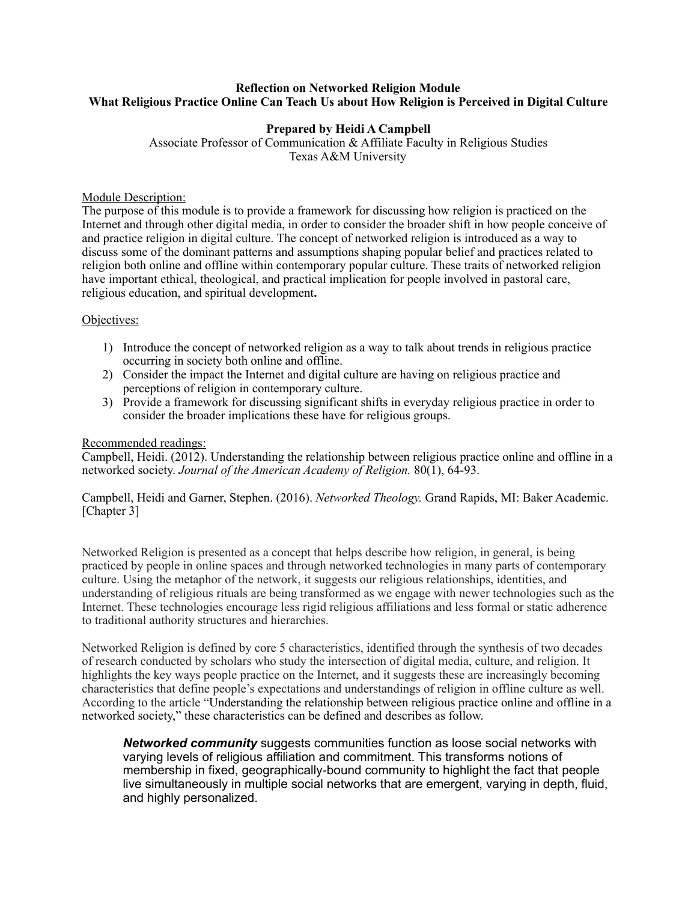# **Reflection on Networked Religion Module What Religious Practice Online Can Teach Us about How Religion is Perceived in Digital Culture**

# **Prepared by Heidi A Campbell**

Associate Professor of Communication & Affiliate Faculty in Religious Studies Texas A&M University

# Module Description:

The purpose of this module is to provide a framework for discussing how religion is practiced on the Internet and through other digital media, in order to consider the broader shift in how people conceive of and practice religion in digital culture. The concept of networked religion is introduced as a way to discuss some of the dominant patterns and assumptions shaping popular belief and practices related to religion both online and offline within contemporary popular culture. These traits of networked religion have important ethical, theological, and practical implication for people involved in pastoral care, religious education, and spiritual development**.** 

### Objectives:

- 1) Introduce the concept of networked religion as a way to talk about trends in religious practice occurring in society both online and offline.
- 2) Consider the impact the Internet and digital culture are having on religious practice and perceptions of religion in contemporary culture.
- 3) Provide a framework for discussing significant shifts in everyday religious practice in order to consider the broader implications these have for religious groups.

### Recommended readings:

Campbell, Heidi. (2012). Understanding the relationship between religious practice online and offline in a networked society. *Journal of the American Academy of Religion.* 80(1), 64-93.

Campbell, Heidi and Garner, Stephen. (2016). *Networked Theology.* Grand Rapids, MI: Baker Academic. [Chapter 3]

Networked Religion is presented as a concept that helps describe how religion, in general, is being practiced by people in online spaces and through networked technologies in many parts of contemporary culture. Using the metaphor of the network, it suggests our religious relationships, identities, and understanding of religious rituals are being transformed as we engage with newer technologies such as the Internet. These technologies encourage less rigid religious affiliations and less formal or static adherence to traditional authority structures and hierarchies.

Networked Religion is defined by core 5 characteristics, identified through the synthesis of two decades of research conducted by scholars who study the intersection of digital media, culture, and religion. It highlights the key ways people practice on the Internet, and it suggests these are increasingly becoming characteristics that define people's expectations and understandings of religion in offline culture as well. According to the article "Understanding the relationship between religious practice online and offline in a networked society," these characteristics can be defined and describes as follow.

*Networked community* suggests communities function as loose social networks with varying levels of religious affiliation and commitment. This transforms notions of membership in fixed, geographically-bound community to highlight the fact that people live simultaneously in multiple social networks that are emergent, varying in depth, fluid, and highly personalized.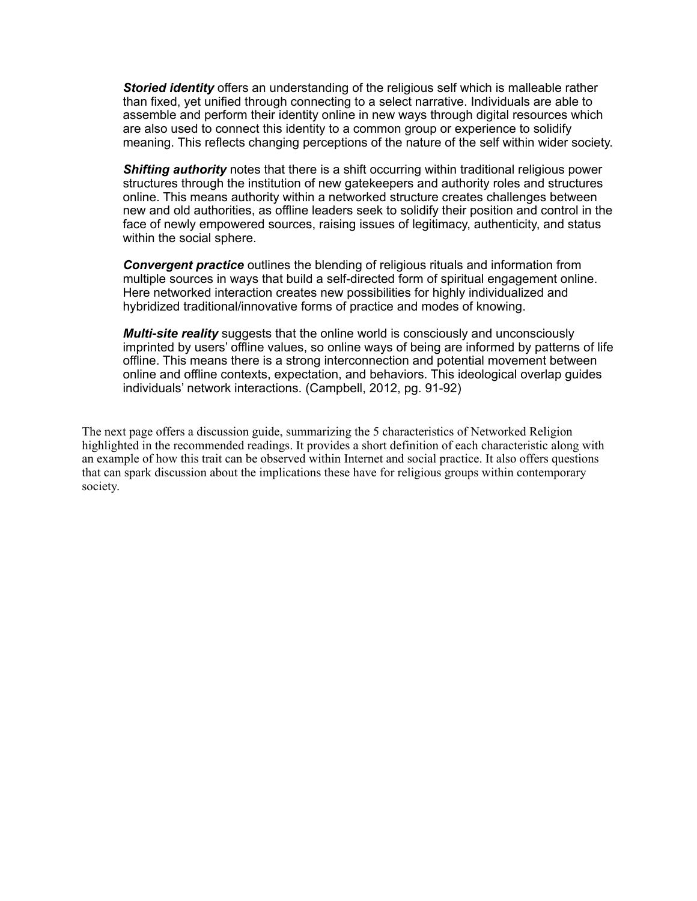*Storied identity* offers an understanding of the religious self which is malleable rather than fixed, yet unified through connecting to a select narrative. Individuals are able to assemble and perform their identity online in new ways through digital resources which are also used to connect this identity to a common group or experience to solidify meaning. This reflects changing perceptions of the nature of the self within wider society.

**Shifting authority** notes that there is a shift occurring within traditional religious power structures through the institution of new gatekeepers and authority roles and structures online. This means authority within a networked structure creates challenges between new and old authorities, as offline leaders seek to solidify their position and control in the face of newly empowered sources, raising issues of legitimacy, authenticity, and status within the social sphere.

*Convergent practice* outlines the blending of religious rituals and information from multiple sources in ways that build a self-directed form of spiritual engagement online. Here networked interaction creates new possibilities for highly individualized and hybridized traditional/innovative forms of practice and modes of knowing.

*Multi-site reality* suggests that the online world is consciously and unconsciously imprinted by users' offline values, so online ways of being are informed by patterns of life offline. This means there is a strong interconnection and potential movement between online and offline contexts, expectation, and behaviors. This ideological overlap guides individuals' network interactions. (Campbell, 2012, pg. 91-92)

The next page offers a discussion guide, summarizing the 5 characteristics of Networked Religion highlighted in the recommended readings. It provides a short definition of each characteristic along with an example of how this trait can be observed within Internet and social practice. It also offers questions that can spark discussion about the implications these have for religious groups within contemporary society.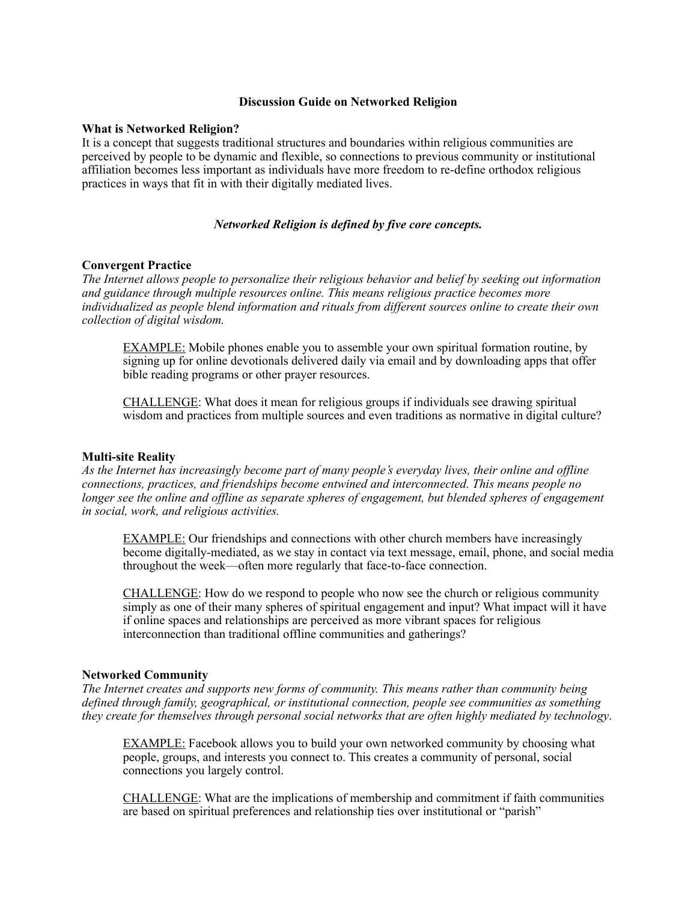### **Discussion Guide on Networked Religion**

#### **What is Networked Religion?**

It is a concept that suggests traditional structures and boundaries within religious communities are perceived by people to be dynamic and flexible, so connections to previous community or institutional affiliation becomes less important as individuals have more freedom to re-define orthodox religious practices in ways that fit in with their digitally mediated lives.

## *Networked Religion is defined by five core concepts.*

#### **Convergent Practice**

*The Internet allows people to personalize their religious behavior and belief by seeking out information and guidance through multiple resources online. This means religious practice becomes more individualized as people blend information and rituals from different sources online to create their own collection of digital wisdom.* 

EXAMPLE: Mobile phones enable you to assemble your own spiritual formation routine, by signing up for online devotionals delivered daily via email and by downloading apps that offer bible reading programs or other prayer resources.

CHALLENGE: What does it mean for religious groups if individuals see drawing spiritual wisdom and practices from multiple sources and even traditions as normative in digital culture?

### **Multi-site Reality**

*As the Internet has increasingly become part of many people's everyday lives, their online and offline connections, practices, and friendships become entwined and interconnected. This means people no longer see the online and offline as separate spheres of engagement, but blended spheres of engagement in social, work, and religious activities.* 

EXAMPLE: Our friendships and connections with other church members have increasingly become digitally-mediated, as we stay in contact via text message, email, phone, and social media throughout the week—often more regularly that face-to-face connection.

CHALLENGE: How do we respond to people who now see the church or religious community simply as one of their many spheres of spiritual engagement and input? What impact will it have if online spaces and relationships are perceived as more vibrant spaces for religious interconnection than traditional offline communities and gatherings?

#### **Networked Community**

*The Internet creates and supports new forms of community. This means rather than community being defined through family, geographical, or institutional connection, people see communities as something they create for themselves through personal social networks that are often highly mediated by technology*.

EXAMPLE: Facebook allows you to build your own networked community by choosing what people, groups, and interests you connect to. This creates a community of personal, social connections you largely control.

CHALLENGE: What are the implications of membership and commitment if faith communities are based on spiritual preferences and relationship ties over institutional or "parish"